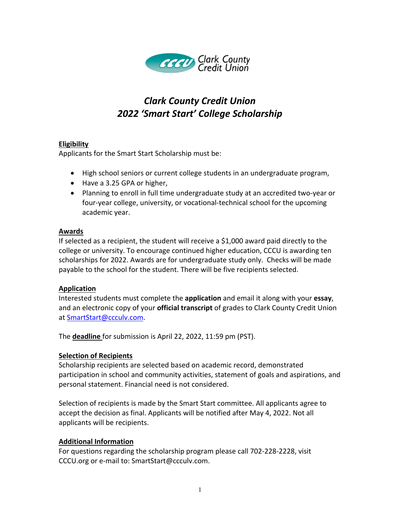

# *Clark County Credit Union 2022 'Smart Start' College Scholarship*

# **Eligibility**

Applicants for the Smart Start Scholarship must be:

- High school seniors or current college students in an undergraduate program,
- Have a 3.25 GPA or higher,
- Planning to enroll in full time undergraduate study at an accredited two-year or four-year college, university, or vocational-technical school for the upcoming academic year.

# **Awards**

If selected as a recipient, the student will receive a \$1,000 award paid directly to the college or university. To encourage continued higher education, CCCU is awarding ten scholarships for 2022. Awards are for undergraduate study only. Checks will be made payable to the school for the student. There will be five recipients selected.

# **Application**

Interested students must complete the **application** and email it along with your **essay**, and an electronic copy of your **official transcript** of grades to Clark County Credit Union at SmartStart@ccculv.com.

The **deadline** for submission is April 22, 2022, 11:59 pm (PST).

# **Selection of Recipients**

Scholarship recipients are selected based on academic record, demonstrated participation in school and community activities, statement of goals and aspirations, and personal statement. Financial need is not considered.

Selection of recipients is made by the Smart Start committee. All applicants agree to accept the decision as final. Applicants will be notified after May 4, 2022. Not all applicants will be recipients.

# **Additional Information**

For questions regarding the scholarship program please call 702-228-2228, visit CCCU.org or e-mail to: SmartStart@ccculv.com.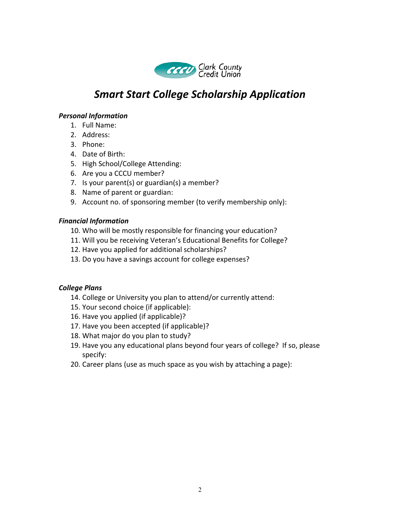

# *Smart Start College Scholarship Application*

## *Personal Information*

- 1. Full Name:
- 2. Address:
- 3. Phone:
- 4. Date of Birth:
- 5. High School/College Attending:
- 6. Are you a CCCU member?
- 7. Is your parent(s) or guardian(s) a member?
- 8. Name of parent or guardian:
- 9. Account no. of sponsoring member (to verify membership only):

## *Financial Information*

- 10. Who will be mostly responsible for financing your education?
- 11. Will you be receiving Veteran's Educational Benefits for College?
- 12. Have you applied for additional scholarships?
- 13. Do you have a savings account for college expenses?

## *College Plans*

- 14. College or University you plan to attend/or currently attend:
- 15. Your second choice (if applicable):
- 16. Have you applied (if applicable)?
- 17. Have you been accepted (if applicable)?
- 18. What major do you plan to study?
- 19. Have you any educational plans beyond four years of college? If so, please specify:
- 20. Career plans (use as much space as you wish by attaching a page):